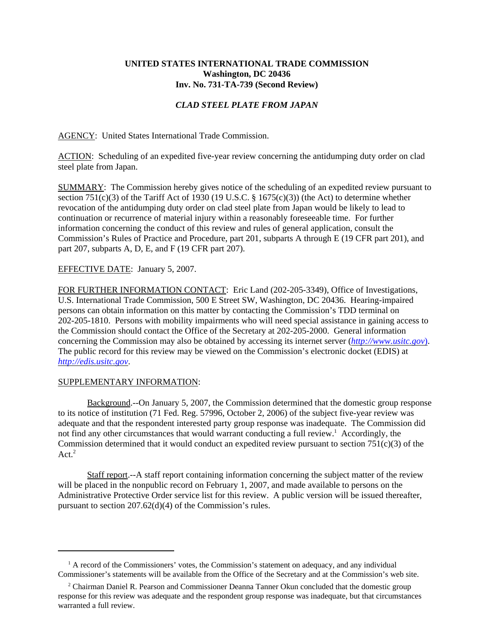## **UNITED STATES INTERNATIONAL TRADE COMMISSION Washington, DC 20436 Inv. No. 731-TA-739 (Second Review)**

## *CLAD STEEL PLATE FROM JAPAN*

AGENCY: United States International Trade Commission.

ACTION: Scheduling of an expedited five-year review concerning the antidumping duty order on clad steel plate from Japan.

SUMMARY: The Commission hereby gives notice of the scheduling of an expedited review pursuant to section 751(c)(3) of the Tariff Act of 1930 (19 U.S.C.  $\S$  1675(c)(3)) (the Act) to determine whether revocation of the antidumping duty order on clad steel plate from Japan would be likely to lead to continuation or recurrence of material injury within a reasonably foreseeable time. For further information concerning the conduct of this review and rules of general application, consult the Commission's Rules of Practice and Procedure, part 201, subparts A through E (19 CFR part 201), and part 207, subparts A, D, E, and F (19 CFR part 207).

## EFFECTIVE DATE: January 5, 2007.

FOR FURTHER INFORMATION CONTACT: Eric Land (202-205-3349), Office of Investigations, U.S. International Trade Commission, 500 E Street SW, Washington, DC 20436. Hearing-impaired persons can obtain information on this matter by contacting the Commission's TDD terminal on 202-205-1810. Persons with mobility impairments who will need special assistance in gaining access to the Commission should contact the Office of the Secretary at 202-205-2000. General information concerning the Commission may also be obtained by accessing its internet server (*http://www.usitc.gov*). The public record for this review may be viewed on the Commission's electronic docket (EDIS) at *http://edis.usitc.gov*.

## SUPPLEMENTARY INFORMATION:

Background.--On January 5, 2007, the Commission determined that the domestic group response to its notice of institution (71 Fed. Reg. 57996, October 2, 2006) of the subject five-year review was adequate and that the respondent interested party group response was inadequate. The Commission did not find any other circumstances that would warrant conducting a full review.<sup>1</sup> Accordingly, the Commission determined that it would conduct an expedited review pursuant to section  $751(c)(3)$  of the Act. $2$ 

Staff report.--A staff report containing information concerning the subject matter of the review will be placed in the nonpublic record on February 1, 2007, and made available to persons on the Administrative Protective Order service list for this review. A public version will be issued thereafter, pursuant to section 207.62(d)(4) of the Commission's rules.

<sup>&</sup>lt;sup>1</sup> A record of the Commissioners' votes, the Commission's statement on adequacy, and any individual Commissioner's statements will be available from the Office of the Secretary and at the Commission's web site.

<sup>&</sup>lt;sup>2</sup> Chairman Daniel R. Pearson and Commissioner Deanna Tanner Okun concluded that the domestic group response for this review was adequate and the respondent group response was inadequate, but that circumstances warranted a full review.